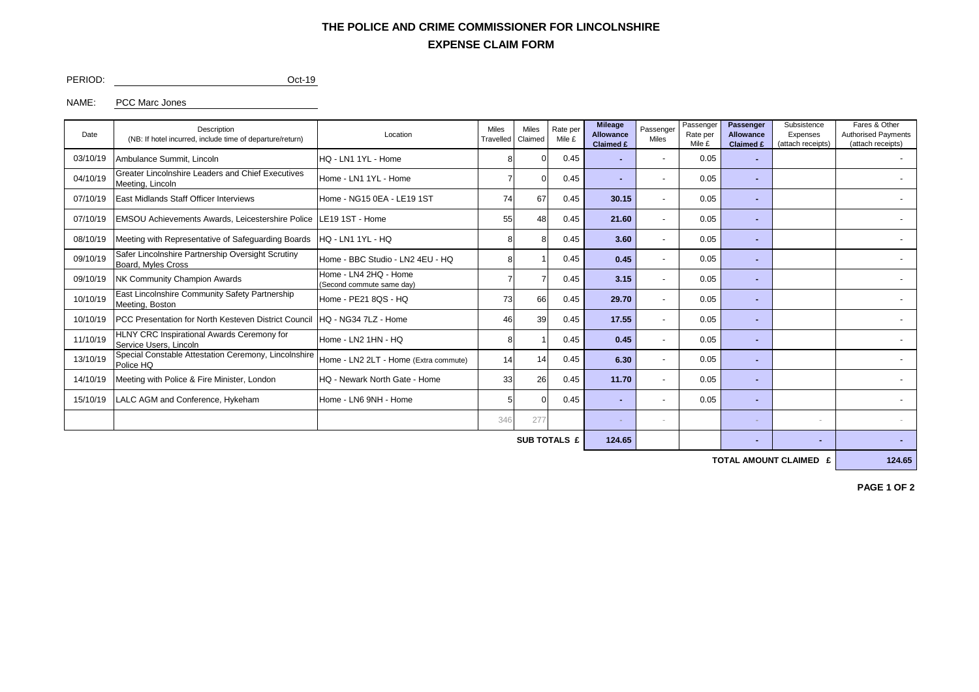## **EXPENSE CLAIM FORM THE POLICE AND CRIME COMMISSIONER FOR LINCOLNSHIRE**

PERIOD: Oct-19

### NAME: PCC Marc Jones

| Date     | Description<br>(NB: If hotel incurred, include time of departure/return)                                   | Location                                           |    | <b>Miles</b><br><b>Miles</b><br>Rate per<br>Claimed<br>Travelled |      | <b>Mileage</b><br><b>Allowance</b><br>Claimed £ | Passenger<br>Miles       | Passenger<br>Rate per<br>Mile £ | <b>Passenger</b><br><b>Allowance</b><br>Claimed £ | Subsistence<br>Expenses<br>(attach receipts) | Fares & Other<br><b>Authorised Payments</b><br>(attach receipts) |  |
|----------|------------------------------------------------------------------------------------------------------------|----------------------------------------------------|----|------------------------------------------------------------------|------|-------------------------------------------------|--------------------------|---------------------------------|---------------------------------------------------|----------------------------------------------|------------------------------------------------------------------|--|
| 03/10/19 | Ambulance Summit, Lincoln                                                                                  | HQ - LN1 1YL - Home                                |    |                                                                  | 0.45 |                                                 | $\overline{\phantom{a}}$ | 0.05                            |                                                   |                                              |                                                                  |  |
| 04/10/19 | <b>Greater Lincolnshire Leaders and Chief Executives</b><br>Meeting, Lincoln                               | Home - LN1 1YL - Home                              |    |                                                                  | 0.45 |                                                 | $\overline{\phantom{a}}$ | 0.05                            |                                                   |                                              |                                                                  |  |
| 07/10/19 | East Midlands Staff Officer Interviews                                                                     | Home - NG15 0EA - LE19 1ST                         | 74 | 67                                                               | 0.45 | 30.15                                           |                          | 0.05                            |                                                   |                                              |                                                                  |  |
| 07/10/19 | <b>EMSOU Achievements Awards, Leicestershire Police   LE19 1ST - Home</b>                                  |                                                    | 55 | 48                                                               | 0.45 | 21.60                                           | $\overline{\phantom{a}}$ | 0.05                            | . .                                               |                                              |                                                                  |  |
| 08/10/19 | Meeting with Representative of Safeguarding Boards                                                         | HQ - LN1 1YL - HQ                                  |    |                                                                  | 0.45 | 3.60                                            | $\overline{\phantom{a}}$ | 0.05                            |                                                   |                                              |                                                                  |  |
| 09/10/19 | Safer Lincolnshire Partnership Oversight Scrutiny<br>Board, Myles Cross                                    | Home - BBC Studio - LN2 4EU - HQ                   |    |                                                                  | 0.45 | 0.45                                            |                          | 0.05                            |                                                   |                                              |                                                                  |  |
| 09/10/19 | NK Community Champion Awards                                                                               | Home - LN4 2HQ - Home<br>(Second commute same day) |    |                                                                  | 0.45 | 3.15                                            |                          | 0.05                            |                                                   |                                              |                                                                  |  |
| 10/10/19 | East Lincolnshire Community Safety Partnership<br>Meeting, Boston                                          | Home - PE21 8QS - HQ                               | 73 | 66                                                               | 0.45 | 29.70                                           | $\overline{\phantom{a}}$ | 0.05                            |                                                   |                                              |                                                                  |  |
| 10/10/19 | PCC Presentation for North Kesteven District Council                                                       | HQ - NG34 7LZ - Home                               | 46 | 39                                                               | 0.45 | 17.55                                           |                          | 0.05                            |                                                   |                                              |                                                                  |  |
| 11/10/19 | HLNY CRC Inspirational Awards Ceremony for<br>Service Users, Lincoln                                       | Home - LN2 1HN - HQ                                |    |                                                                  | 0.45 | 0.45                                            |                          | 0.05                            |                                                   |                                              |                                                                  |  |
| 13/10/19 | Special Constable Attestation Ceremony, Lincolnshire<br>Home - LN2 2LT - Home (Extra commute)<br>Police HQ |                                                    | 14 | 14                                                               | 0.45 | 6.30                                            | $\overline{\phantom{a}}$ | 0.05                            |                                                   |                                              |                                                                  |  |
| 14/10/19 | Meeting with Police & Fire Minister, London                                                                | HQ - Newark North Gate - Home                      |    | 26                                                               | 0.45 | 11.70                                           |                          | 0.05                            |                                                   |                                              |                                                                  |  |
| 15/10/19 | LALC AGM and Conference, Hykeham<br>Home - LN6 9NH - Home                                                  |                                                    |    |                                                                  | 0.45 |                                                 |                          | 0.05                            |                                                   |                                              |                                                                  |  |
|          |                                                                                                            |                                                    |    | 277                                                              |      |                                                 |                          |                                 |                                                   | $\overline{\phantom{a}}$                     |                                                                  |  |
|          |                                                                                                            |                                                    |    |                                                                  |      |                                                 |                          |                                 |                                                   |                                              |                                                                  |  |

**SUB TOTALS £ 124.65 - - -**

**TOTAL AMOUNT CLAIMED £ 124.65**

**PAGE 1 OF 2**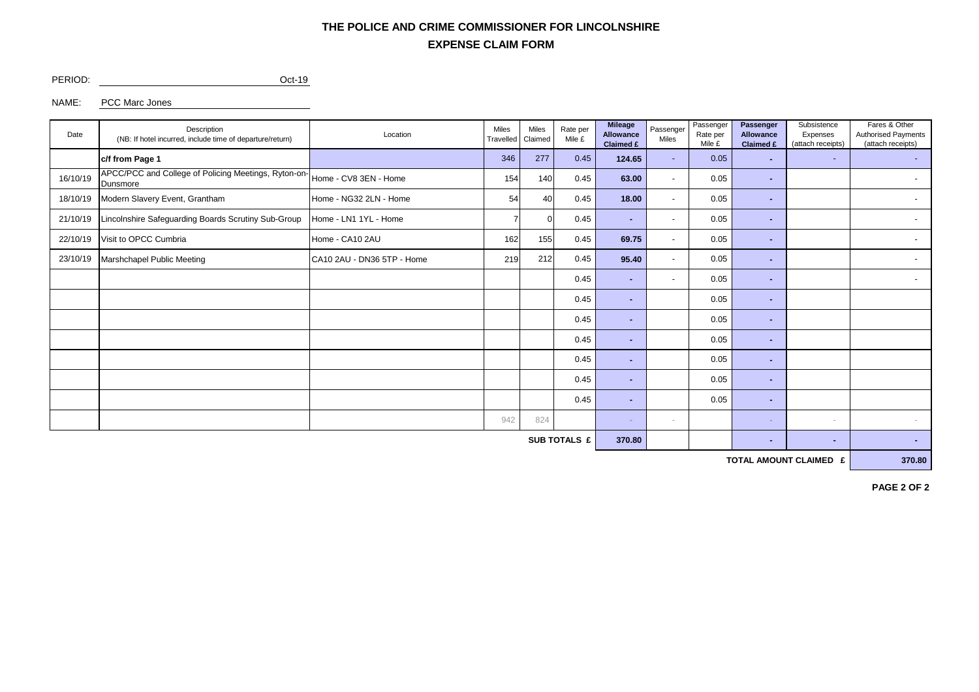# **EXPENSE CLAIM FORM THE POLICE AND CRIME COMMISSIONER FOR LINCOLNSHIRE**

PERIOD: Oct-19

NAME: PCC Marc Jones

| Date                | Description<br>(NB: If hotel incurred, include time of departure/return) | Location<br>Travelled      |     | <b>Miles</b><br>Rate per<br>Mile £<br>Claimed |      | <b>Mileage</b><br><b>Allowance</b><br>Claimed £ | Passenger<br>Miles | Passenger<br>Rate per<br>Mile £ | Passenger<br><b>Allowance</b><br><b>Claimed £</b> | Subsistence<br>Expenses<br>(attach receipts) | Fares & Other<br><b>Authorised Payments</b><br>(attach receipts) |  |
|---------------------|--------------------------------------------------------------------------|----------------------------|-----|-----------------------------------------------|------|-------------------------------------------------|--------------------|---------------------------------|---------------------------------------------------|----------------------------------------------|------------------------------------------------------------------|--|
|                     | c/f from Page 1                                                          |                            | 346 | 277                                           | 0.45 | 124.65                                          |                    | 0.05                            | ۰.                                                | ٠                                            | $\sim$                                                           |  |
| 16/10/19            | APCC/PCC and College of Policing Meetings, Ryton-on-<br>Dunsmore         | Home - CV8 3EN - Home      | 154 | 140                                           | 0.45 | 63.00                                           | $\sim$             | 0.05                            | ж.                                                |                                              | $\overline{\phantom{a}}$                                         |  |
| 18/10/19            | Modern Slavery Event, Grantham                                           | Home - NG32 2LN - Home     | 54  | 40                                            | 0.45 | 18.00                                           | $\overline{a}$     | 0.05                            | ×.                                                |                                              | $\sim$                                                           |  |
| 21/10/19            | Lincolnshire Safeguarding Boards Scrutiny Sub-Group                      | Home - LN1 1YL - Home      |     | $\Omega$                                      | 0.45 | ж.                                              | $\sim$             | 0.05                            | ж.                                                |                                              | $\overline{\phantom{a}}$                                         |  |
| 22/10/19            | Visit to OPCC Cumbria                                                    | Home - CA10 2AU            | 162 | 155                                           | 0.45 | 69.75                                           |                    | 0.05                            | ۰.                                                |                                              | $\overline{\phantom{a}}$                                         |  |
| 23/10/19            | Marshchapel Public Meeting                                               | CA10 2AU - DN36 5TP - Home | 219 | 212                                           | 0.45 | 95.40                                           |                    | 0.05                            | ۰.                                                |                                              | $\overline{\phantom{0}}$                                         |  |
|                     |                                                                          |                            |     |                                               | 0.45 | ж.                                              | $\sim$             | 0.05                            | ×.                                                |                                              | $\overline{\phantom{a}}$                                         |  |
|                     |                                                                          |                            |     |                                               | 0.45 | ٠.                                              |                    | 0.05                            | н.                                                |                                              |                                                                  |  |
|                     |                                                                          |                            |     |                                               | 0.45 | ۰.                                              |                    | 0.05                            | ж.                                                |                                              |                                                                  |  |
|                     |                                                                          |                            |     |                                               | 0.45 | ۰                                               |                    | 0.05                            | ж.                                                |                                              |                                                                  |  |
|                     |                                                                          |                            |     |                                               | 0.45 |                                                 |                    | 0.05                            | ۰.                                                |                                              |                                                                  |  |
|                     |                                                                          |                            |     |                                               | 0.45 | ٠.                                              |                    | 0.05                            | ж.                                                |                                              |                                                                  |  |
|                     |                                                                          |                            |     |                                               | 0.45 | ۰.                                              |                    | 0.05                            | ۰.                                                |                                              |                                                                  |  |
|                     |                                                                          |                            | 942 | 824                                           |      | ж.                                              |                    |                                 |                                                   | $\sim$                                       |                                                                  |  |
| <b>SUB TOTALS £</b> |                                                                          |                            |     |                                               |      |                                                 |                    |                                 | ۰.                                                | ٠                                            | ٠                                                                |  |

**TOTAL AMOUNT CLAIMED £** 370.80

**PAGE 2 OF 2**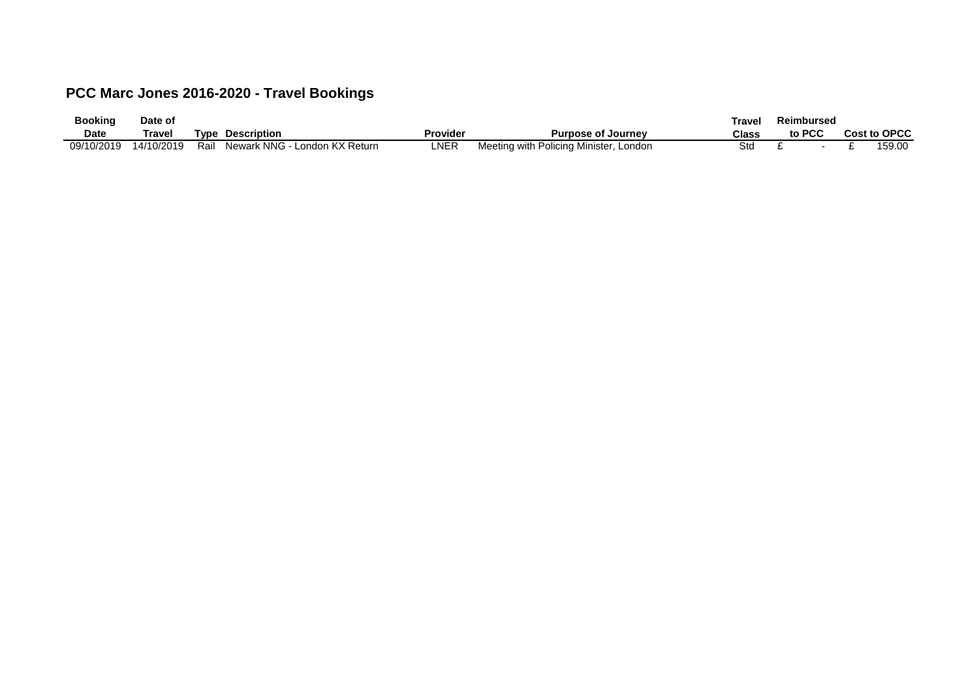# **PCC Marc Jones 2016-2020 - Travel Bookings**

| <b>Booking</b> | Date of    |      |                                  |          |                                        | Trave. | Reimbursed |  |              |
|----------------|------------|------|----------------------------------|----------|----------------------------------------|--------|------------|--|--------------|
| <b>Date</b>    | Travel     | Tvpe | <b>Description</b>               | Provider | <b>Purpose of Journey</b>              | Class  | to PCC     |  | Cost to OPCC |
| 09/10/2019     | 14/10/2019 | Rail | Newark NNG -<br>London KX Return | NER_     | Meeting with Policing Minister, London | Std    |            |  | 59.00        |